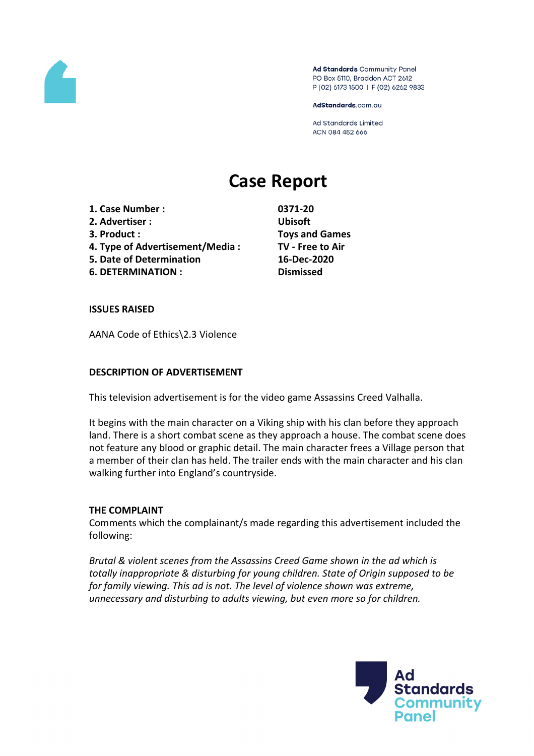

Ad Standards Community Panel PO Box 5110, Braddon ACT 2612 P (02) 6173 1500 | F (02) 6262 9833

AdStandards.com.au

**Ad Standards Limited** ACN 084 452 666

# **Case Report**

**1. Case Number : 0371-20 2. Advertiser : Ubisoft 3. Product : Toys and Games 4. Type of Advertisement/Media : TV - Free to Air 5. Date of Determination 16-Dec-2020 6. DETERMINATION : Dismissed**

#### **ISSUES RAISED**

AANA Code of Ethics\2.3 Violence

#### **DESCRIPTION OF ADVERTISEMENT**

This television advertisement is for the video game Assassins Creed Valhalla.

It begins with the main character on a Viking ship with his clan before they approach land. There is a short combat scene as they approach a house. The combat scene does not feature any blood or graphic detail. The main character frees a Village person that a member of their clan has held. The trailer ends with the main character and his clan walking further into England's countryside.

## **THE COMPLAINT**

Comments which the complainant/s made regarding this advertisement included the following:

*Brutal & violent scenes from the Assassins Creed Game shown in the ad which is totally inappropriate & disturbing for young children. State of Origin supposed to be for family viewing. This ad is not. The level of violence shown was extreme, unnecessary and disturbing to adults viewing, but even more so for children.*

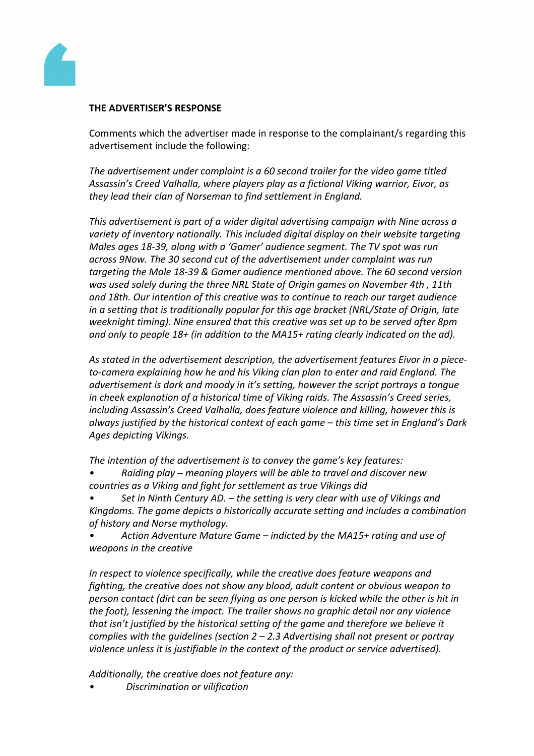

# **THE ADVERTISER'S RESPONSE**

Comments which the advertiser made in response to the complainant/s regarding this advertisement include the following:

*The advertisement under complaint is a 60 second trailer for the video game titled Assassin's Creed Valhalla, where players play as a fictional Viking warrior, Eivor, as they lead their clan of Norseman to find settlement in England.*

*This advertisement is part of a wider digital advertising campaign with Nine across a variety of inventory nationally. This included digital display on their website targeting Males ages 18-39, along with a 'Gamer' audience segment. The TV spot was run across 9Now. The 30 second cut of the advertisement under complaint was run targeting the Male 18-39 & Gamer audience mentioned above. The 60 second version was used solely during the three NRL State of Origin games on November 4th , 11th and 18th. Our intention of this creative was to continue to reach our target audience in a setting that is traditionally popular for this age bracket (NRL/State of Origin, late weeknight timing). Nine ensured that this creative was set up to be served after 8pm and only to people 18+ (in addition to the MA15+ rating clearly indicated on the ad).*

*As stated in the advertisement description, the advertisement features Eivor in a pieceto-camera explaining how he and his Viking clan plan to enter and raid England. The advertisement is dark and moody in it's setting, however the script portrays a tongue in cheek explanation of a historical time of Viking raids. The Assassin's Creed series, including Assassin's Creed Valhalla, does feature violence and killing, however this is always justified by the historical context of each game – this time set in England's Dark Ages depicting Vikings.*

*The intention of the advertisement is to convey the game's key features:*

*• Raiding play – meaning players will be able to travel and discover new countries as a Viking and fight for settlement as true Vikings did*

*• Set in Ninth Century AD. – the setting is very clear with use of Vikings and Kingdoms. The game depicts a historically accurate setting and includes a combination of history and Norse mythology.*

*• Action Adventure Mature Game – indicted by the MA15+ rating and use of weapons in the creative*

*In respect to violence specifically, while the creative does feature weapons and fighting, the creative does not show any blood, adult content or obvious weapon to person contact (dirt can be seen flying as one person is kicked while the other is hit in the foot), lessening the impact. The trailer shows no graphic detail nor any violence that isn't justified by the historical setting of the game and therefore we believe it complies with the guidelines (section 2 – 2.3 Advertising shall not present or portray violence unless it is justifiable in the context of the product or service advertised).*

*Additionally, the creative does not feature any:*

*• Discrimination or vilification*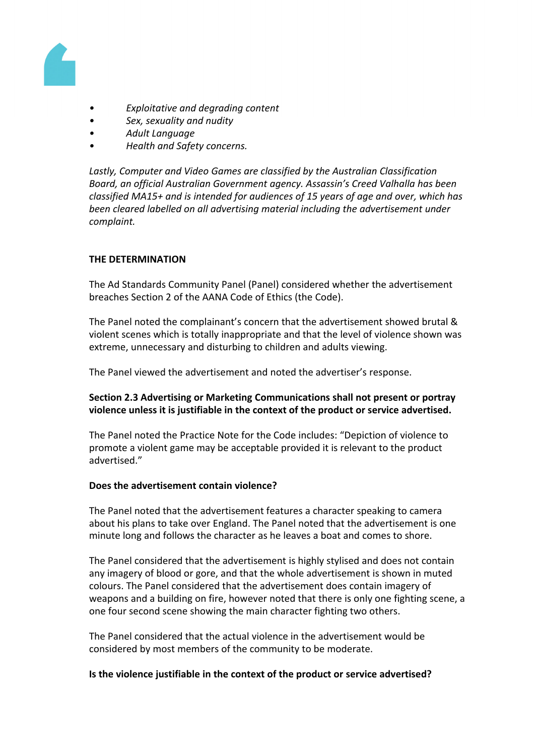

- *Exploitative and degrading content*
- *Sex, sexuality and nudity*
- *Adult Language*
- *Health and Safety concerns.*

*Lastly, Computer and Video Games are classified by the Australian Classification Board, an official Australian Government agency. Assassin's Creed Valhalla has been classified MA15+ and is intended for audiences of 15 years of age and over, which has been cleared labelled on all advertising material including the advertisement under complaint.*

# **THE DETERMINATION**

The Ad Standards Community Panel (Panel) considered whether the advertisement breaches Section 2 of the AANA Code of Ethics (the Code).

The Panel noted the complainant's concern that the advertisement showed brutal & violent scenes which is totally inappropriate and that the level of violence shown was extreme, unnecessary and disturbing to children and adults viewing.

The Panel viewed the advertisement and noted the advertiser's response.

## **Section 2.3 Advertising or Marketing Communications shall not present or portray violence unless it is justifiable in the context of the product or service advertised.**

The Panel noted the Practice Note for the Code includes: "Depiction of violence to promote a violent game may be acceptable provided it is relevant to the product advertised."

## **Does the advertisement contain violence?**

The Panel noted that the advertisement features a character speaking to camera about his plans to take over England. The Panel noted that the advertisement is one minute long and follows the character as he leaves a boat and comes to shore.

The Panel considered that the advertisement is highly stylised and does not contain any imagery of blood or gore, and that the whole advertisement is shown in muted colours. The Panel considered that the advertisement does contain imagery of weapons and a building on fire, however noted that there is only one fighting scene, a one four second scene showing the main character fighting two others.

The Panel considered that the actual violence in the advertisement would be considered by most members of the community to be moderate.

#### **Is the violence justifiable in the context of the product or service advertised?**